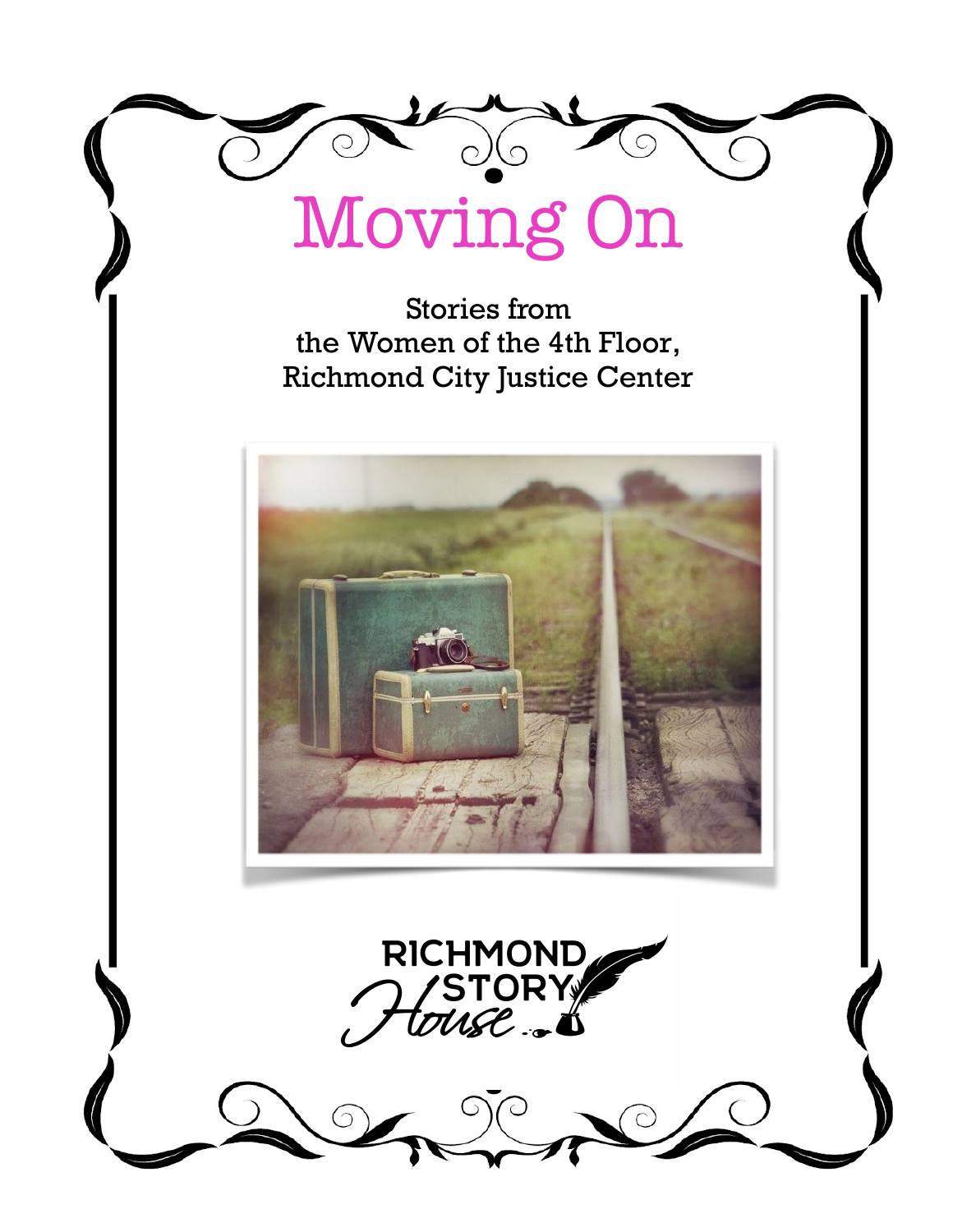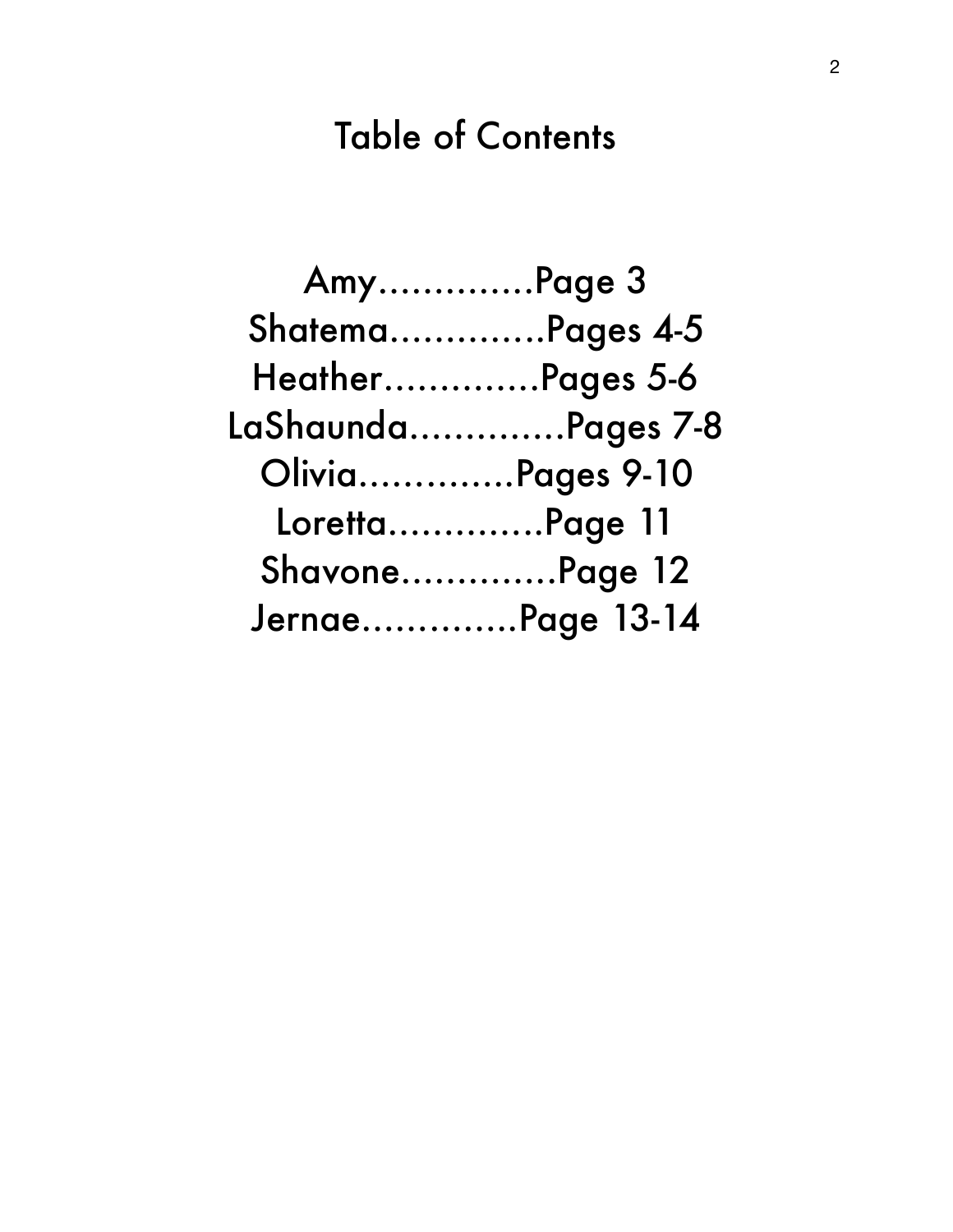# Table of Contents

| AmyPage 3        |                         |
|------------------|-------------------------|
| ShatemaPages 4-5 |                         |
| HeatherPages 5-6 |                         |
|                  | LaShaundaPages 7-8      |
|                  | <b>OliviaPages 9-10</b> |
| LorettaPage 11   |                         |
| ShavonePage 12   |                         |
| JernaePage 13-14 |                         |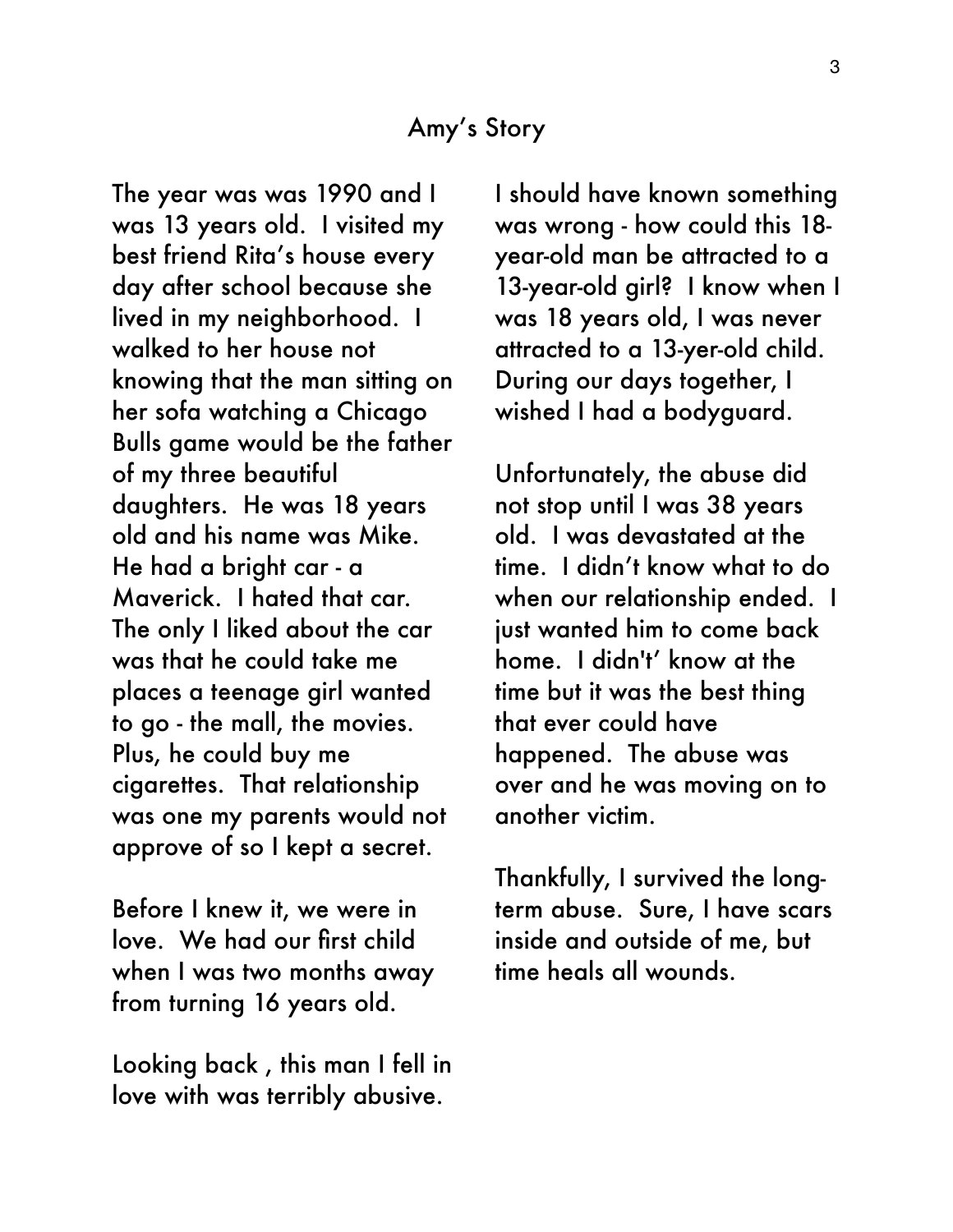#### Amy's Story

The year was was 1990 and I was 13 years old. I visited my best friend Rita's house every day after school because she lived in my neighborhood. I walked to her house not knowing that the man sitting on her sofa watching a Chicago Bulls game would be the father of my three beautiful daughters. He was 18 years old and his name was Mike. He had a bright car - a Maverick. I hated that car. The only I liked about the car was that he could take me places a teenage girl wanted to go - the mall, the movies. Plus, he could buy me cigarettes. That relationship was one my parents would not approve of so I kept a secret.

Before I knew it, we were in love. We had our first child when I was two months away from turning 16 years old.

Looking back , this man I fell in love with was terribly abusive.

I should have known something was wrong - how could this 18 year-old man be attracted to a 13-year-old girl? I know when I was 18 years old, I was never attracted to a 13-yer-old child. During our days together, I wished I had a bodyguard.

Unfortunately, the abuse did not stop until I was 38 years old. I was devastated at the time. I didn't know what to do when our relationship ended. I just wanted him to come back home. I didn't' know at the time but it was the best thing that ever could have happened. The abuse was over and he was moving on to another victim.

Thankfully, I survived the longterm abuse. Sure, I have scars inside and outside of me, but time heals all wounds.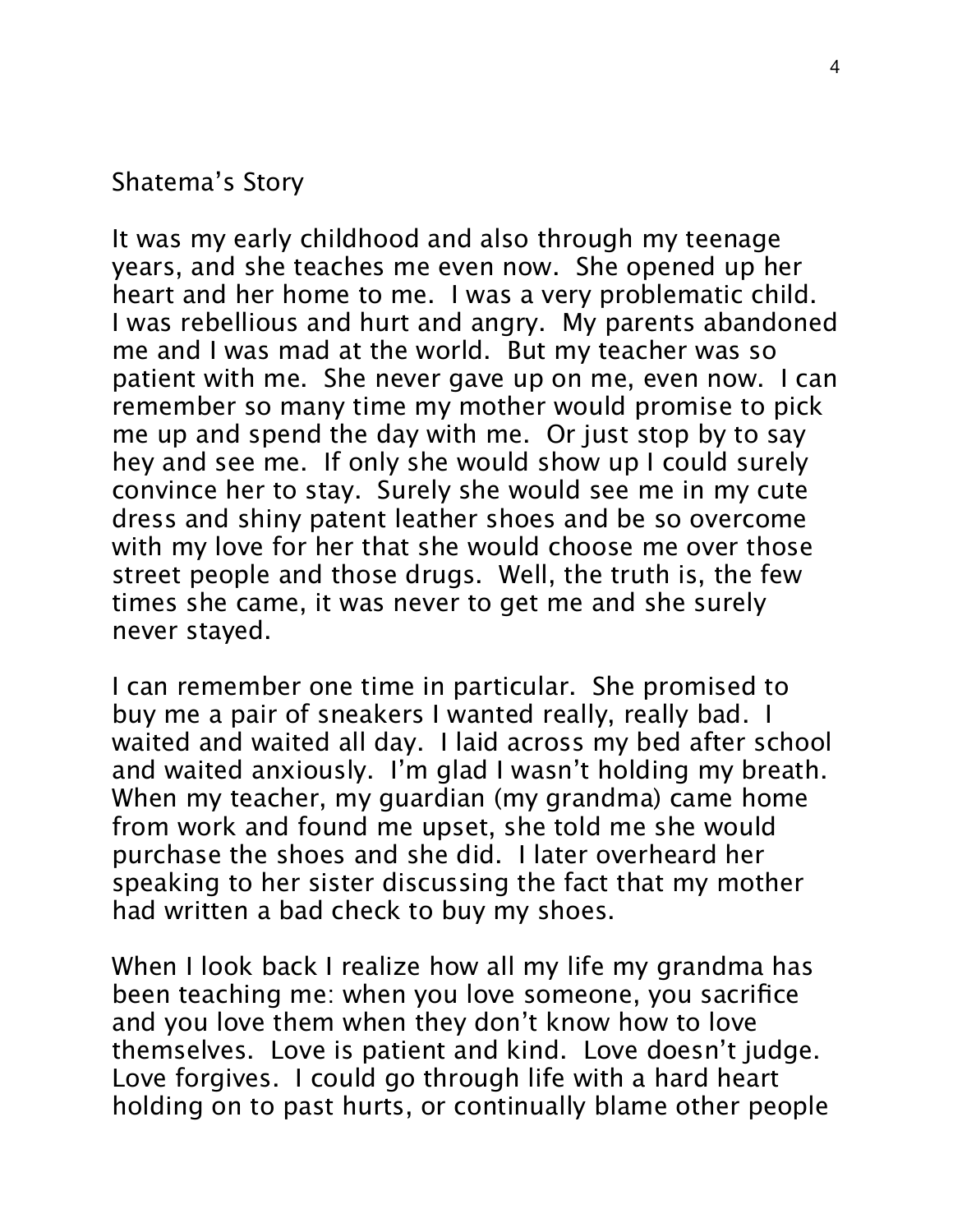#### Shatema's Story

It was my early childhood and also through my teenage years, and she teaches me even now. She opened up her heart and her home to me. I was a very problematic child. I was rebellious and hurt and angry. My parents abandoned me and I was mad at the world. But my teacher was so patient with me. She never gave up on me, even now. I can remember so many time my mother would promise to pick me up and spend the day with me. Or just stop by to say hey and see me. If only she would show up I could surely convince her to stay. Surely she would see me in my cute dress and shiny patent leather shoes and be so overcome with my love for her that she would choose me over those street people and those drugs. Well, the truth is, the few times she came, it was never to get me and she surely never stayed.

I can remember one time in particular. She promised to buy me a pair of sneakers I wanted really, really bad. I waited and waited all day. I laid across my bed after school and waited anxiously. I'm glad I wasn't holding my breath. When my teacher, my guardian (my grandma) came home from work and found me upset, she told me she would purchase the shoes and she did. I later overheard her speaking to her sister discussing the fact that my mother had written a bad check to buy my shoes.

When I look back I realize how all my life my grandma has been teaching me: when you love someone, you sacrifice and you love them when they don't know how to love themselves. Love is patient and kind. Love doesn't judge. Love forgives. I could go through life with a hard heart holding on to past hurts, or continually blame other people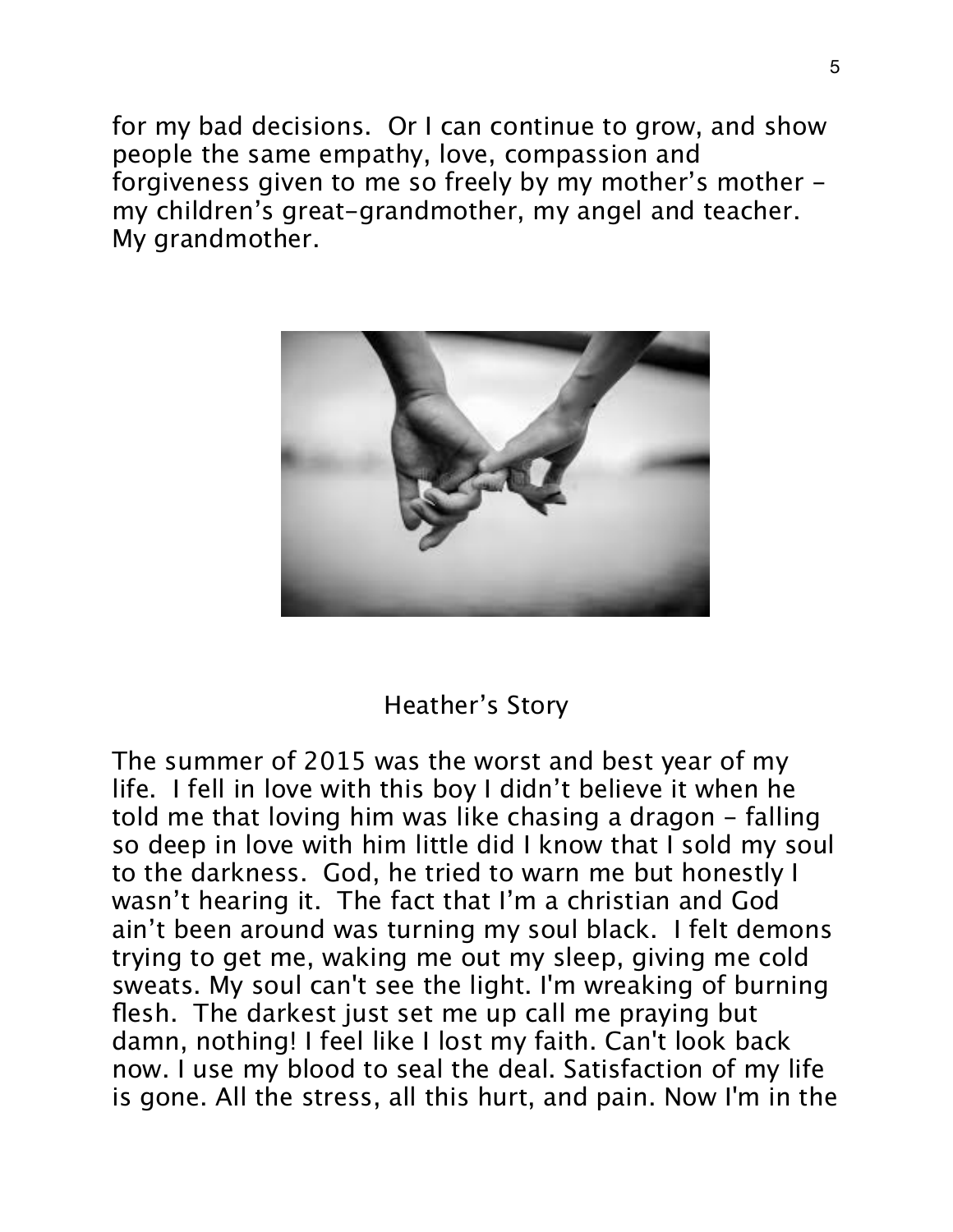for my bad decisions. Or I can continue to grow, and show people the same empathy, love, compassion and forgiveness given to me so freely by my mother's mother my children's great-grandmother, my angel and teacher. My grandmother.



### Heather's Story

The summer of 2015 was the worst and best year of my life. I fell in love with this boy I didn't believe it when he told me that loving him was like chasing a dragon - falling so deep in love with him little did I know that I sold my soul to the darkness. God, he tried to warn me but honestly I wasn't hearing it. The fact that I'm a christian and God ain't been around was turning my soul black. I felt demons trying to get me, waking me out my sleep, giving me cold sweats. My soul can't see the light. I'm wreaking of burning flesh. The darkest just set me up call me praying but damn, nothing! I feel like I lost my faith. Can't look back now. I use my blood to seal the deal. Satisfaction of my life is gone. All the stress, all this hurt, and pain. Now I'm in the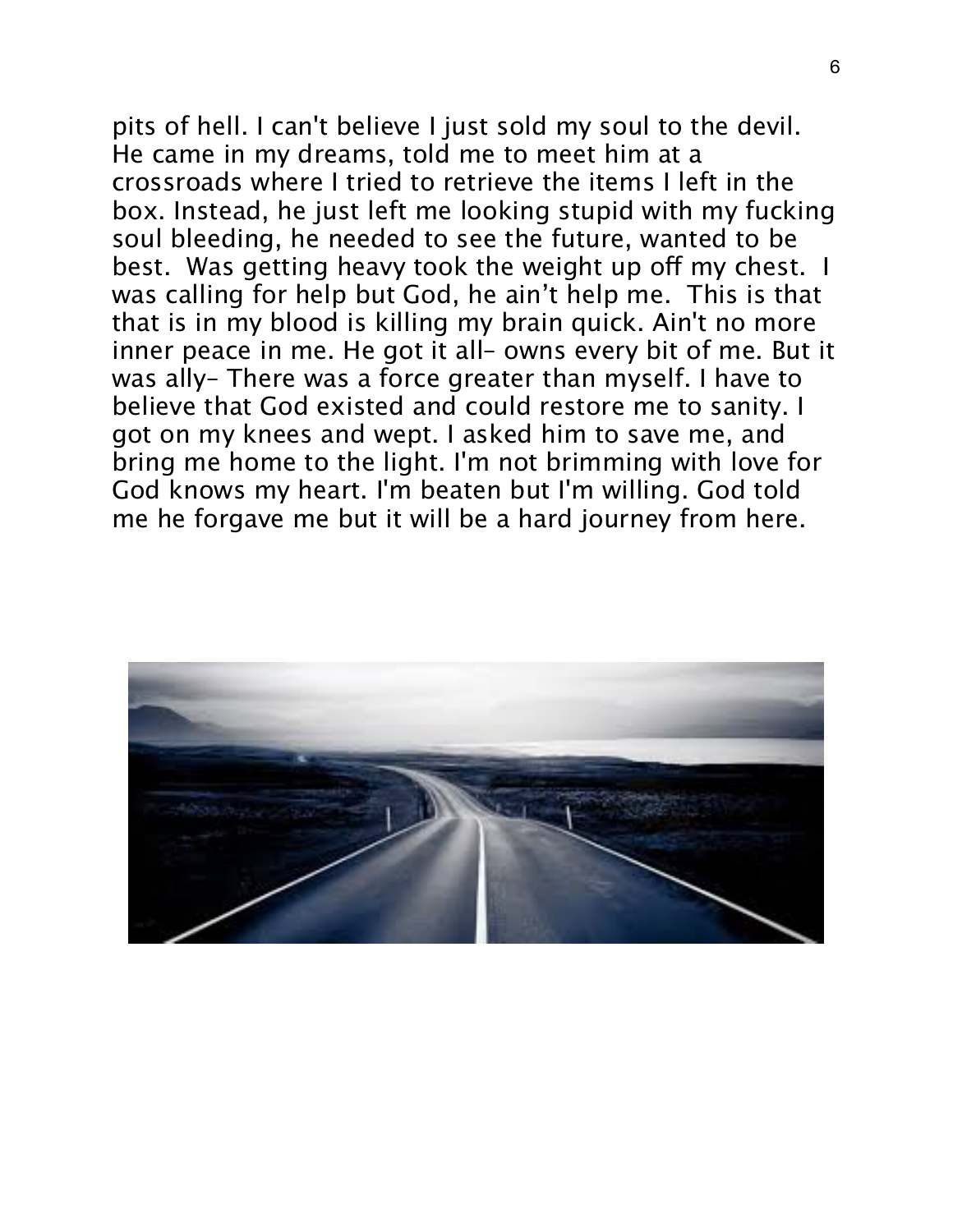pits of hell. I can't believe I just sold my soul to the devil. He came in my dreams, told me to meet him at a crossroads where I tried to retrieve the items I left in the box. Instead, he just left me looking stupid with my fucking soul bleeding, he needed to see the future, wanted to be best. Was getting heavy took the weight up off my chest. I was calling for help but God, he ain't help me. This is that that is in my blood is killing my brain quick. Ain't no more inner peace in me. He got it all– owns every bit of me. But it was ally– There was a force greater than myself. I have to believe that God existed and could restore me to sanity. I got on my knees and wept. I asked him to save me, and bring me home to the light. I'm not brimming with love for God knows my heart. I'm beaten but I'm willing. God told me he forgave me but it will be a hard journey from here.

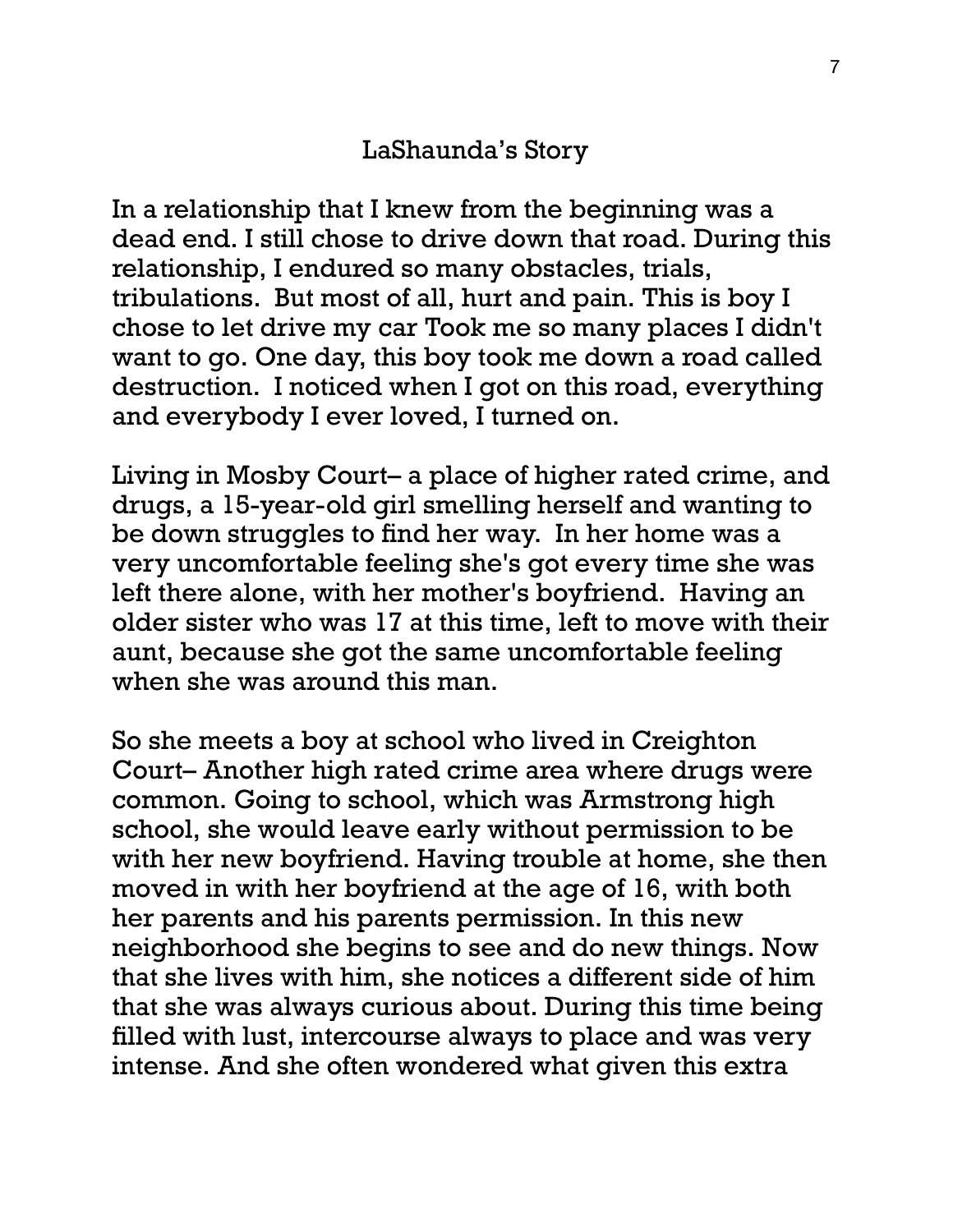# LaShaunda's Story

In a relationship that I knew from the beginning was a dead end. I still chose to drive down that road. During this relationship, I endured so many obstacles, trials, tribulations. But most of all, hurt and pain. This is boy I chose to let drive my car Took me so many places I didn't want to go. One day, this boy took me down a road called destruction. I noticed when I got on this road, everything and everybody I ever loved, I turned on.

Living in Mosby Court– a place of higher rated crime, and drugs, a 15-year-old girl smelling herself and wanting to be down struggles to find her way. In her home was a very uncomfortable feeling she's got every time she was left there alone, with her mother's boyfriend. Having an older sister who was 17 at this time, left to move with their aunt, because she got the same uncomfortable feeling when she was around this man.

So she meets a boy at school who lived in Creighton Court– Another high rated crime area where drugs were common. Going to school, which was Armstrong high school, she would leave early without permission to be with her new boyfriend. Having trouble at home, she then moved in with her boyfriend at the age of 16, with both her parents and his parents permission. In this new neighborhood she begins to see and do new things. Now that she lives with him, she notices a different side of him that she was always curious about. During this time being filled with lust, intercourse always to place and was very intense. And she often wondered what given this extra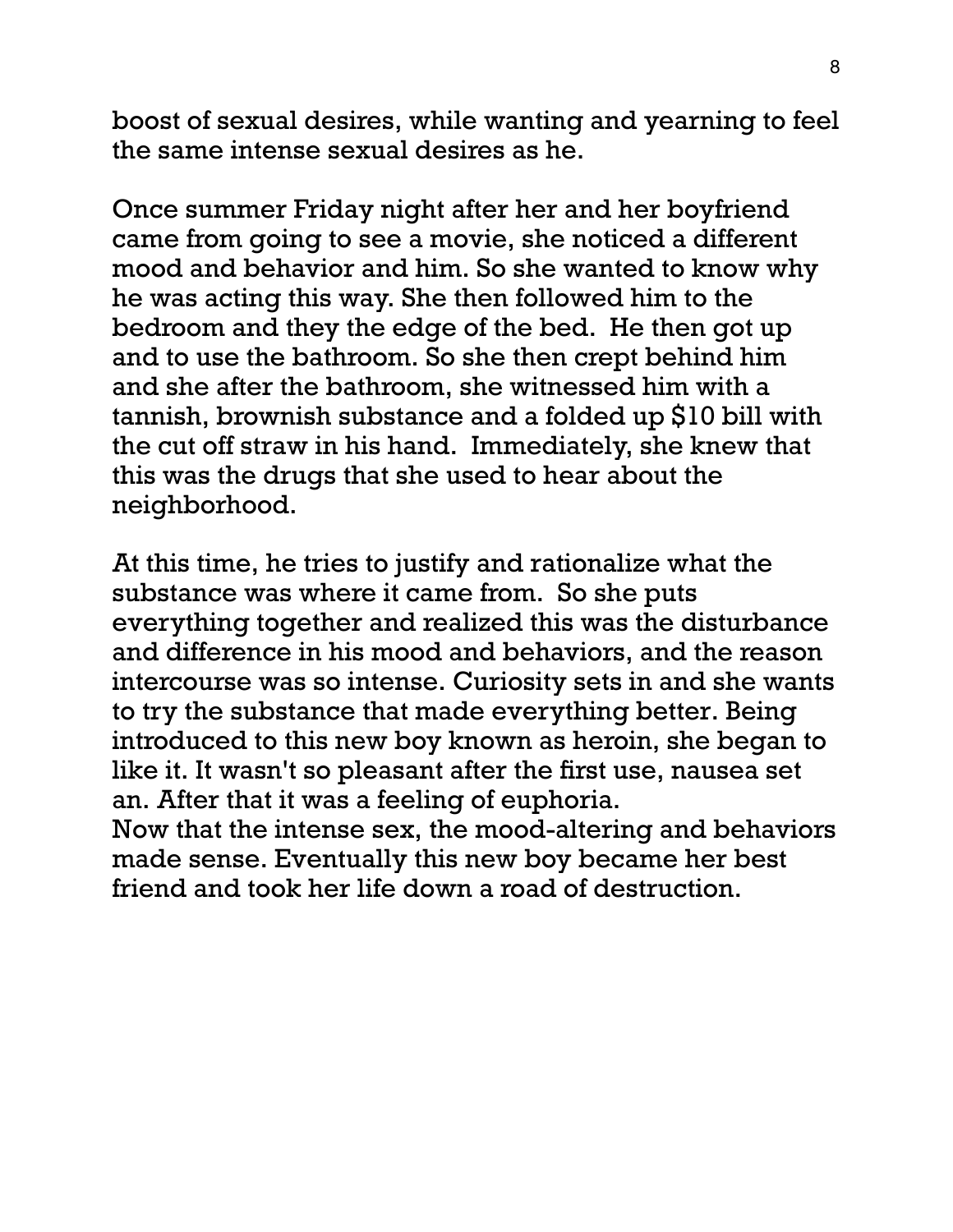boost of sexual desires, while wanting and yearning to feel the same intense sexual desires as he.

Once summer Friday night after her and her boyfriend came from going to see a movie, she noticed a different mood and behavior and him. So she wanted to know why he was acting this way. She then followed him to the bedroom and they the edge of the bed. He then got up and to use the bathroom. So she then crept behind him and she after the bathroom, she witnessed him with a tannish, brownish substance and a folded up \$10 bill with the cut off straw in his hand. Immediately, she knew that this was the drugs that she used to hear about the neighborhood.

At this time, he tries to justify and rationalize what the substance was where it came from. So she puts everything together and realized this was the disturbance and difference in his mood and behaviors, and the reason intercourse was so intense. Curiosity sets in and she wants to try the substance that made everything better. Being introduced to this new boy known as heroin, she began to like it. It wasn't so pleasant after the first use, nausea set an. After that it was a feeling of euphoria.

Now that the intense sex, the mood-altering and behaviors made sense. Eventually this new boy became her best friend and took her life down a road of destruction.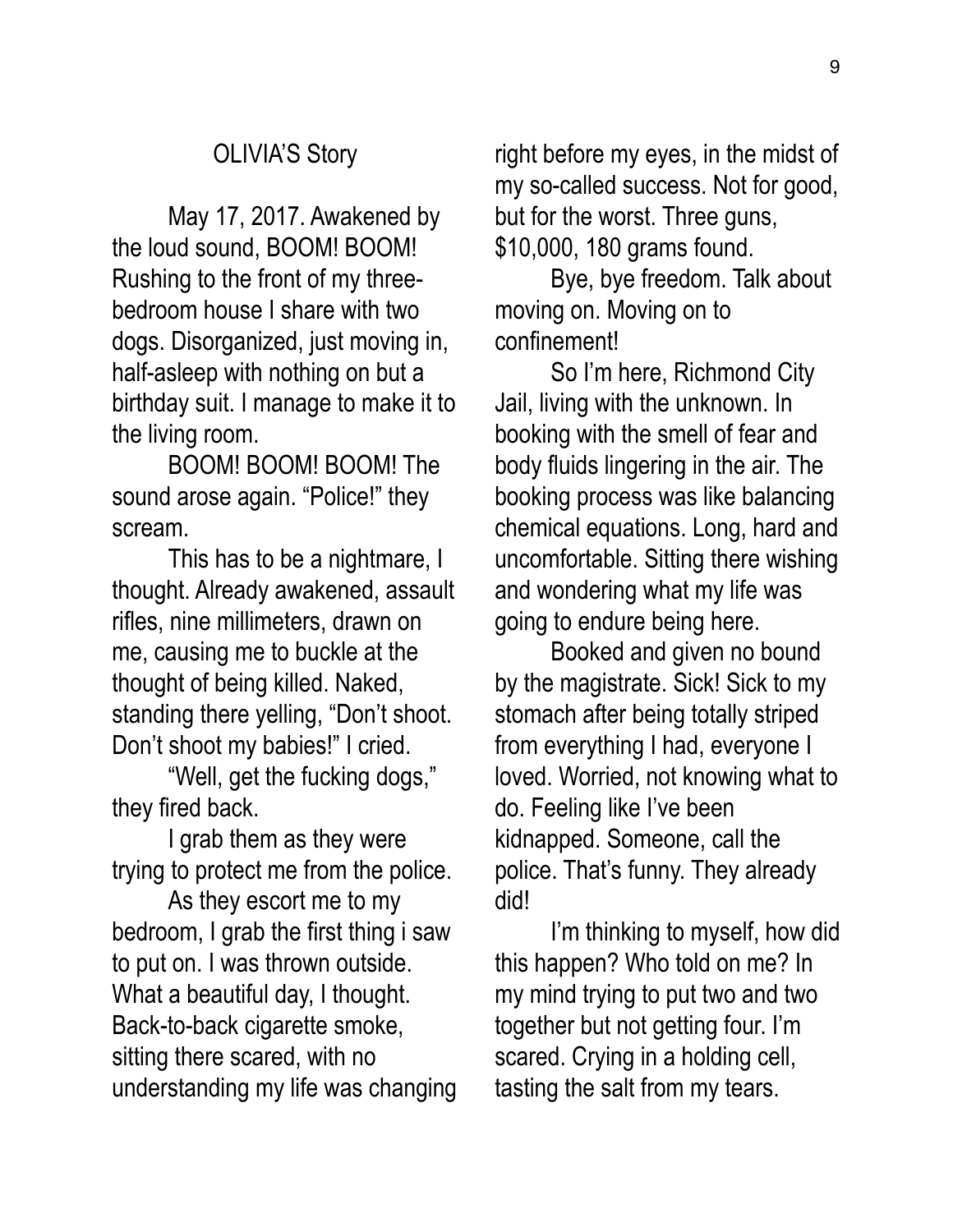#### OLIVIA'S Story

 May 17, 2017. Awakened by the loud sound, BOOM! BOOM! Rushing to the front of my threebedroom house I share with two dogs. Disorganized, just moving in, half-asleep with nothing on but a birthday suit. I manage to make it to the living room.

 BOOM! BOOM! BOOM! The sound arose again. "Police!" they scream.

 This has to be a nightmare, I thought. Already awakened, assault rifles, nine millimeters, drawn on me, causing me to buckle at the thought of being killed. Naked, standing there yelling, "Don't shoot. Don't shoot my babies!" I cried.

 "Well, get the fucking dogs," they fired back.

 I grab them as they were trying to protect me from the police.

 As they escort me to my bedroom, I grab the first thing i saw to put on. I was thrown outside. What a beautiful day, I thought. Back-to-back cigarette smoke, sitting there scared, with no understanding my life was changing right before my eyes, in the midst of my so-called success. Not for good, but for the worst. Three guns, \$10,000, 180 grams found.

 Bye, bye freedom. Talk about moving on. Moving on to confinement!

 So I'm here, Richmond City Jail, living with the unknown. In booking with the smell of fear and body fluids lingering in the air. The booking process was like balancing chemical equations. Long, hard and uncomfortable. Sitting there wishing and wondering what my life was going to endure being here.

 Booked and given no bound by the magistrate. Sick! Sick to my stomach after being totally striped from everything I had, everyone I loved. Worried, not knowing what to do. Feeling like I've been kidnapped. Someone, call the police. That's funny. They already did!

 I'm thinking to myself, how did this happen? Who told on me? In my mind trying to put two and two together but not getting four. I'm scared. Crying in a holding cell, tasting the salt from my tears.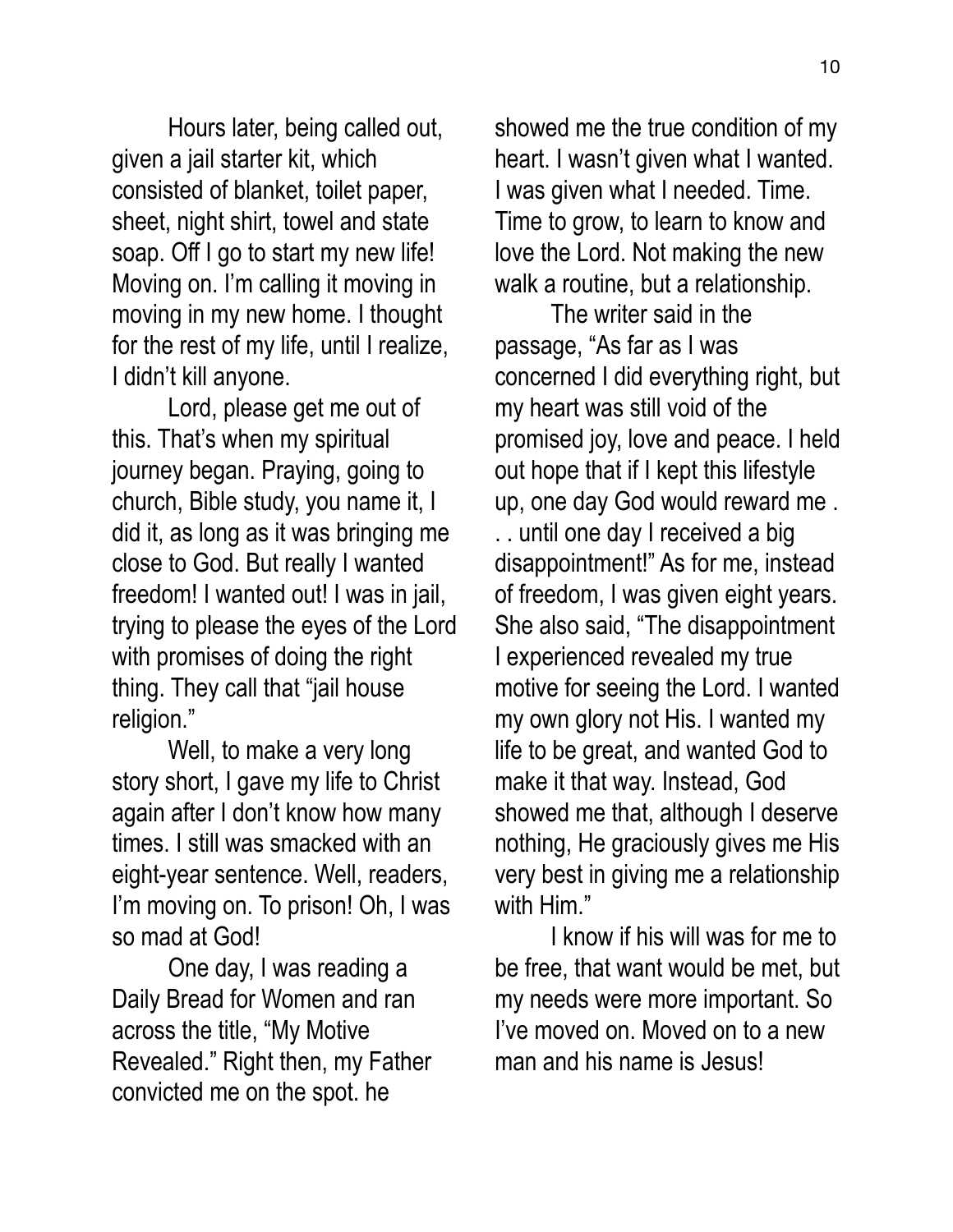Hours later, being called out, given a jail starter kit, which consisted of blanket, toilet paper, sheet, night shirt, towel and state soap. Off I go to start my new life! Moving on. I'm calling it moving in moving in my new home. I thought for the rest of my life, until I realize, I didn't kill anyone.

 Lord, please get me out of this. That's when my spiritual journey began. Praying, going to church, Bible study, you name it, I did it, as long as it was bringing me close to God. But really I wanted freedom! I wanted out! I was in jail, trying to please the eyes of the Lord with promises of doing the right thing. They call that "jail house religion."

 Well, to make a very long story short, I gave my life to Christ again after I don't know how many times. I still was smacked with an eight-year sentence. Well, readers, I'm moving on. To prison! Oh, I was so mad at God!

 One day, I was reading a Daily Bread for Women and ran across the title, "My Motive Revealed." Right then, my Father convicted me on the spot. he

showed me the true condition of my heart. I wasn't given what I wanted. I was given what I needed. Time. Time to grow, to learn to know and love the Lord. Not making the new walk a routine, but a relationship.

 The writer said in the passage, "As far as I was concerned I did everything right, but my heart was still void of the promised joy, love and peace. I held out hope that if I kept this lifestyle up, one day God would reward me . . . until one day I received a big disappointment!" As for me, instead of freedom, I was given eight years. She also said, "The disappointment I experienced revealed my true motive for seeing the Lord. I wanted my own glory not His. I wanted my life to be great, and wanted God to make it that way. Instead, God showed me that, although I deserve nothing, He graciously gives me His very best in giving me a relationship with Him."

 I know if his will was for me to be free, that want would be met, but my needs were more important. So I've moved on. Moved on to a new man and his name is Jesus!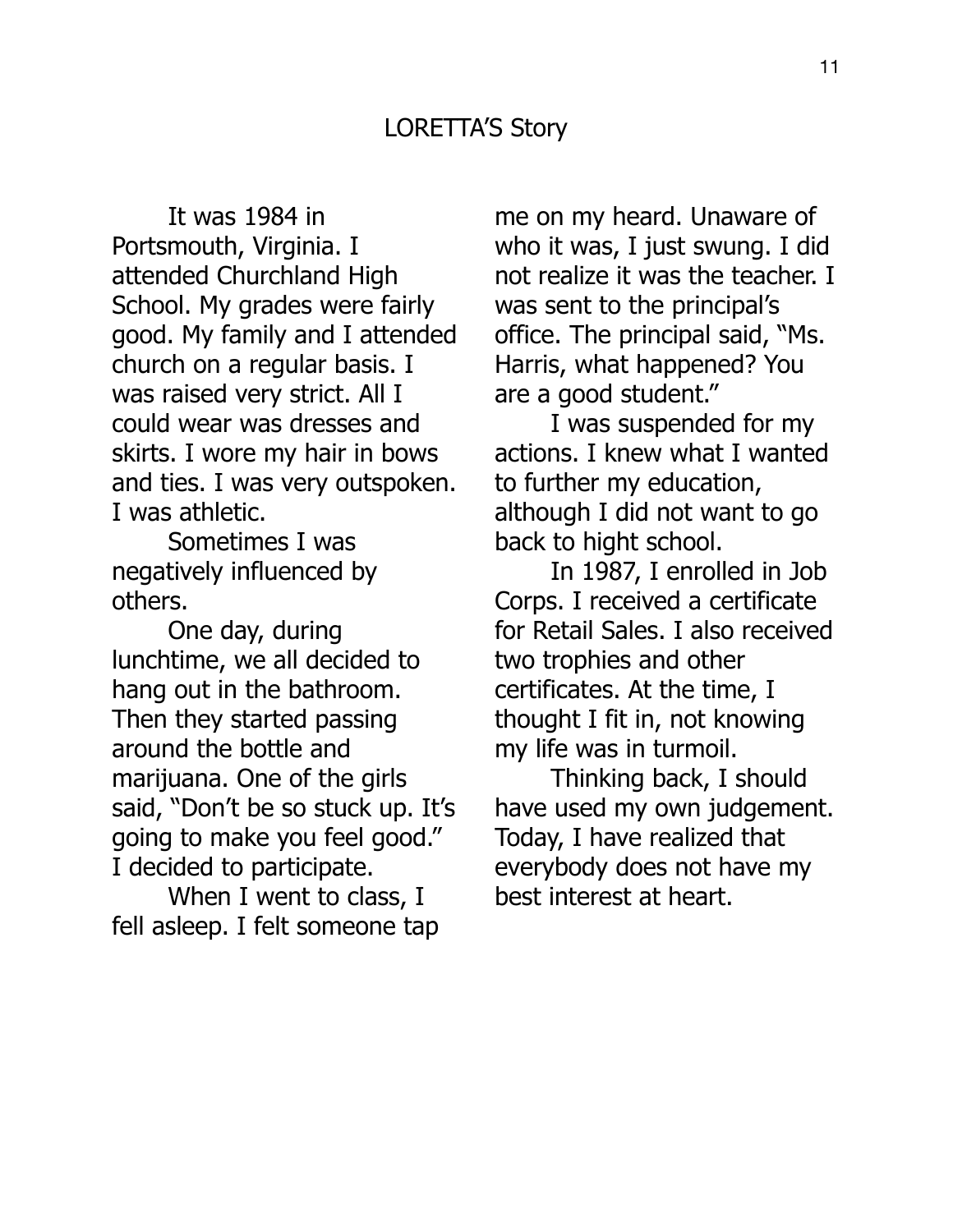It was 1984 in Portsmouth, Virginia. I attended Churchland High School. My grades were fairly good. My family and I attended church on a regular basis. I was raised very strict. All I could wear was dresses and skirts. I wore my hair in bows and ties. I was very outspoken. I was athletic.

 Sometimes I was negatively influenced by others.

 One day, during lunchtime, we all decided to hang out in the bathroom. Then they started passing around the bottle and marijuana. One of the girls said, "Don't be so stuck up. It's going to make you feel good." I decided to participate.

 When I went to class, I fell asleep. I felt someone tap me on my heard. Unaware of who it was, I just swung. I did not realize it was the teacher. I was sent to the principal's office. The principal said, "Ms. Harris, what happened? You are a good student."

 I was suspended for my actions. I knew what I wanted to further my education, although I did not want to go back to hight school.

 In 1987, I enrolled in Job Corps. I received a certificate for Retail Sales. I also received two trophies and other certificates. At the time, I thought I fit in, not knowing my life was in turmoil.

 Thinking back, I should have used my own judgement. Today, I have realized that everybody does not have my best interest at heart.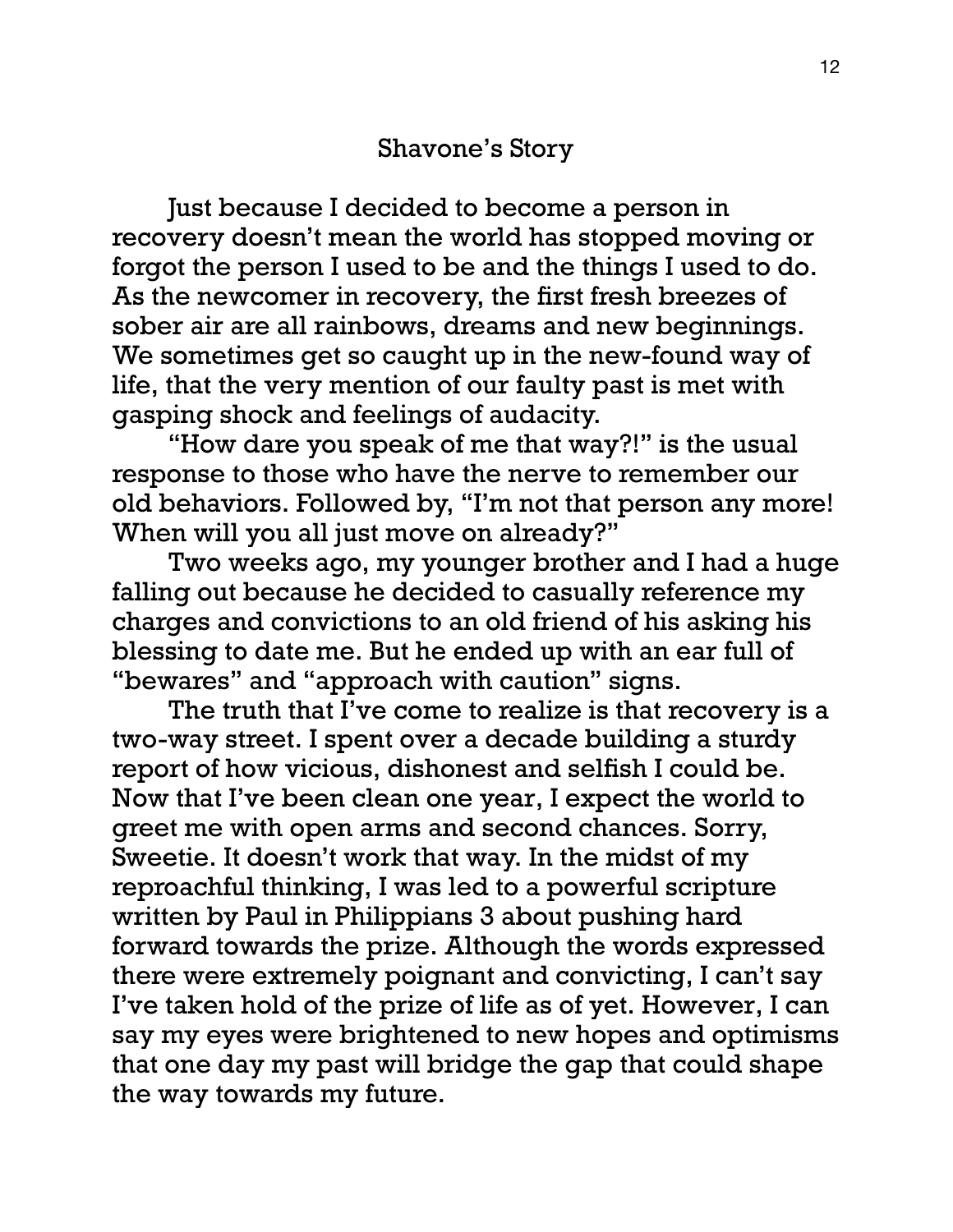Just because I decided to become a person in recovery doesn't mean the world has stopped moving or forgot the person I used to be and the things I used to do. As the newcomer in recovery, the first fresh breezes of sober air are all rainbows, dreams and new beginnings. We sometimes get so caught up in the new-found way of life, that the very mention of our faulty past is met with gasping shock and feelings of audacity.

 "How dare you speak of me that way?!" is the usual response to those who have the nerve to remember our old behaviors. Followed by, "I'm not that person any more! When will you all just move on already?"

 Two weeks ago, my younger brother and I had a huge falling out because he decided to casually reference my charges and convictions to an old friend of his asking his blessing to date me. But he ended up with an ear full of "bewares" and "approach with caution" signs.

 The truth that I've come to realize is that recovery is a two-way street. I spent over a decade building a sturdy report of how vicious, dishonest and selfish I could be. Now that I've been clean one year, I expect the world to greet me with open arms and second chances. Sorry, Sweetie. It doesn't work that way. In the midst of my reproachful thinking, I was led to a powerful scripture written by Paul in Philippians 3 about pushing hard forward towards the prize. Although the words expressed there were extremely poignant and convicting, I can't say I've taken hold of the prize of life as of yet. However, I can say my eyes were brightened to new hopes and optimisms that one day my past will bridge the gap that could shape the way towards my future.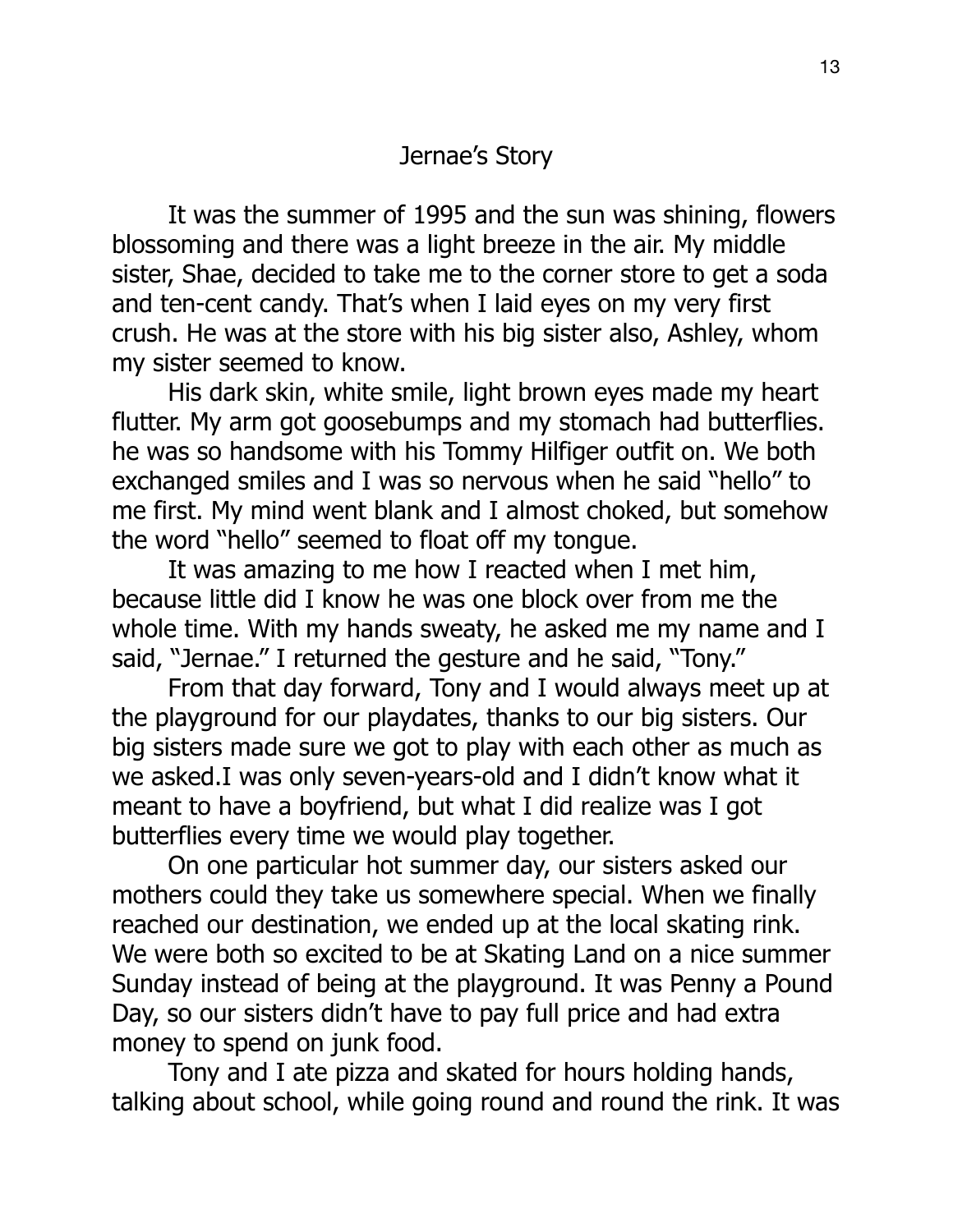# Jernae's Story

 It was the summer of 1995 and the sun was shining, flowers blossoming and there was a light breeze in the air. My middle sister, Shae, decided to take me to the corner store to get a soda and ten-cent candy. That's when I laid eyes on my very first crush. He was at the store with his big sister also, Ashley, whom my sister seemed to know.

 His dark skin, white smile, light brown eyes made my heart flutter. My arm got goosebumps and my stomach had butterflies. he was so handsome with his Tommy Hilfiger outfit on. We both exchanged smiles and I was so nervous when he said "hello" to me first. My mind went blank and I almost choked, but somehow the word "hello" seemed to float off my tongue.

 It was amazing to me how I reacted when I met him, because little did I know he was one block over from me the whole time. With my hands sweaty, he asked me my name and I said, "Jernae." I returned the gesture and he said, "Tony."

 From that day forward, Tony and I would always meet up at the playground for our playdates, thanks to our big sisters. Our big sisters made sure we got to play with each other as much as we asked.I was only seven-years-old and I didn't know what it meant to have a boyfriend, but what I did realize was I got butterflies every time we would play together.

 On one particular hot summer day, our sisters asked our mothers could they take us somewhere special. When we finally reached our destination, we ended up at the local skating rink. We were both so excited to be at Skating Land on a nice summer Sunday instead of being at the playground. It was Penny a Pound Day, so our sisters didn't have to pay full price and had extra money to spend on junk food.

 Tony and I ate pizza and skated for hours holding hands, talking about school, while going round and round the rink. It was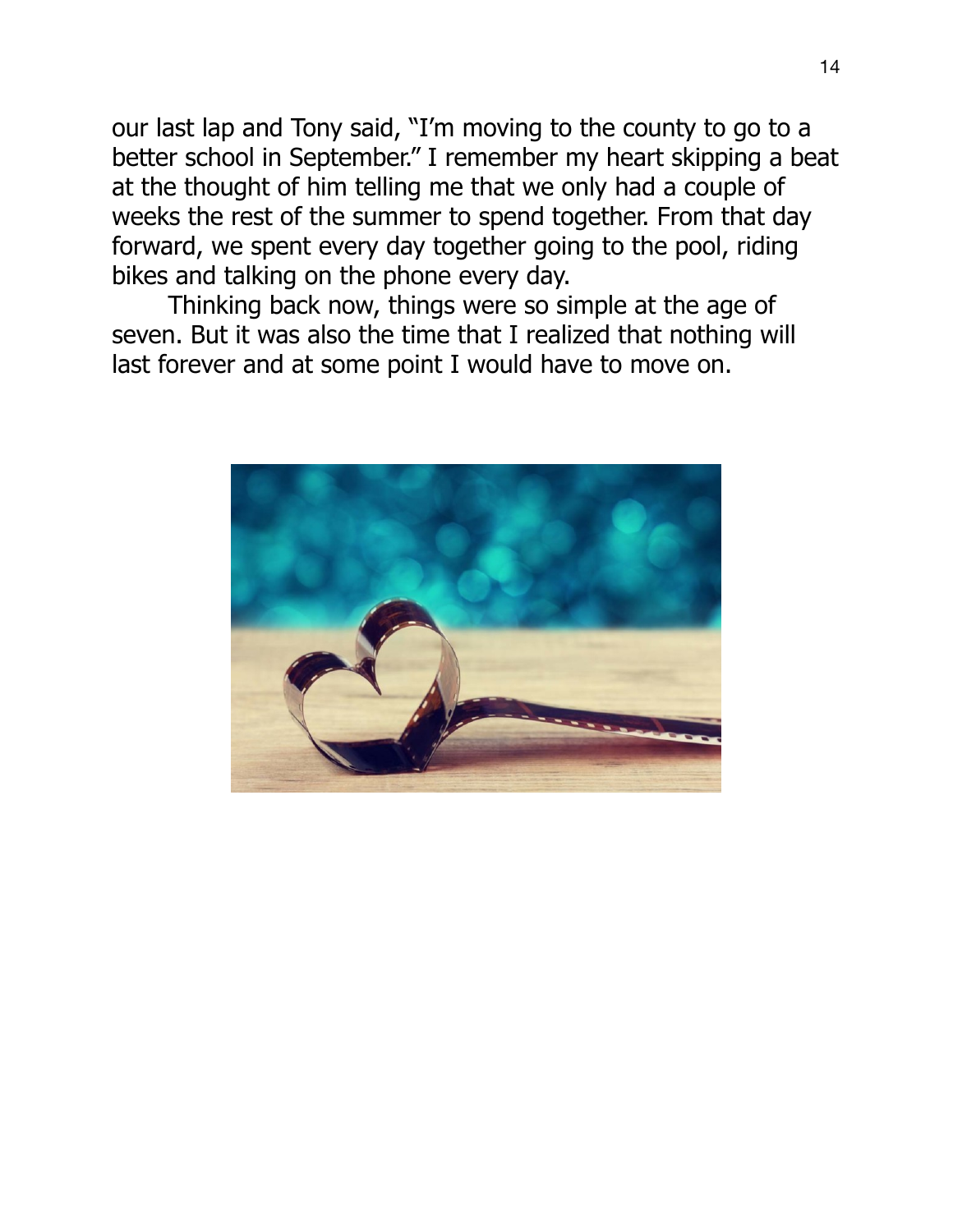our last lap and Tony said, "I'm moving to the county to go to a better school in September." I remember my heart skipping a beat at the thought of him telling me that we only had a couple of weeks the rest of the summer to spend together. From that day forward, we spent every day together going to the pool, riding bikes and talking on the phone every day.

 Thinking back now, things were so simple at the age of seven. But it was also the time that I realized that nothing will last forever and at some point I would have to move on.

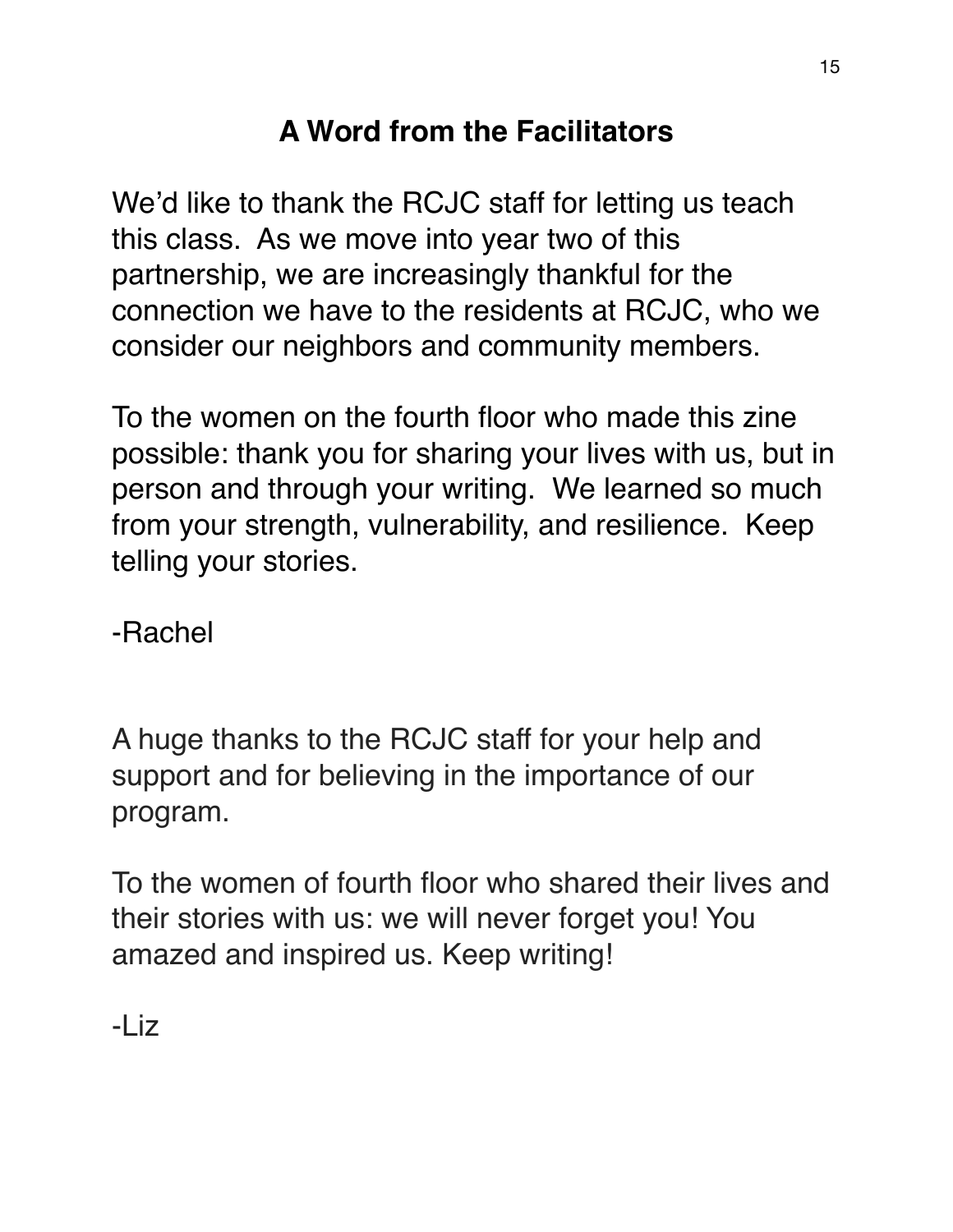# **A Word from the Facilitators**

We'd like to thank the RCJC staff for letting us teach this class. As we move into year two of this partnership, we are increasingly thankful for the connection we have to the residents at RCJC, who we consider our neighbors and community members.

To the women on the fourth floor who made this zine possible: thank you for sharing your lives with us, but in person and through your writing. We learned so much from your strength, vulnerability, and resilience. Keep telling your stories.

-Rachel

A huge thanks to the RCJC staff for your help and support and for believing in the importance of our program.

To the women of fourth floor who shared their lives and their stories with us: we will never forget you! You amazed and inspired us. Keep writing!

-Liz